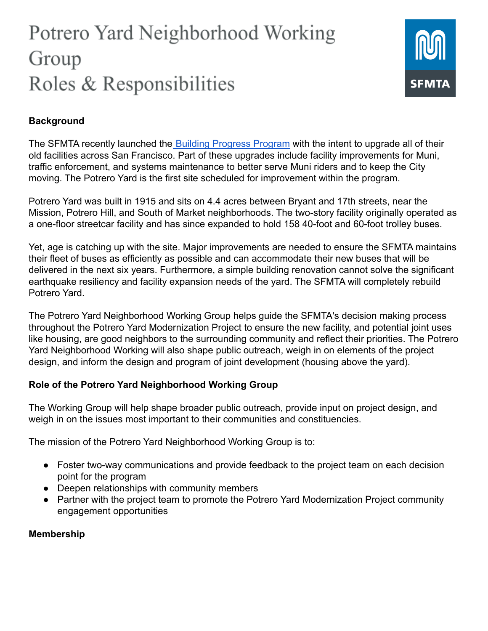# Potrero Yard Neighborhood Working Group Roles & Responsibilities



## **Background**

The SFMTA recently launched the [Building Progress](https://www.sfmta.com/projects/building-progress-program) Program with the intent to upgrade all of their old facilities across San Francisco. Part of these upgrades include facility improvements for Muni, traffic enforcement, and systems maintenance to better serve Muni riders and to keep the City moving. The Potrero Yard is the first site scheduled for improvement within the program.

Potrero Yard was built in 1915 and sits on 4.4 acres between Bryant and 17th streets, near the Mission, Potrero Hill, and South of Market neighborhoods. The two-story facility originally operated as a one-floor streetcar facility and has since expanded to hold 158 40-foot and 60-foot trolley buses.

Yet, age is catching up with the site. Major improvements are needed to ensure the SFMTA maintains their fleet of buses as efficiently as possible and can accommodate their new buses that will be delivered in the next six years. Furthermore, a simple building renovation cannot solve the significant earthquake resiliency and facility expansion needs of the yard. The SFMTA will completely rebuild Potrero Yard.

The Potrero Yard Neighborhood Working Group helps guide the SFMTA's decision making process throughout the Potrero Yard Modernization Project to ensure the new facility, and potential joint uses like housing, are good neighbors to the surrounding community and reflect their priorities. The Potrero Yard Neighborhood Working will also shape public outreach, weigh in on elements of the project design, and inform the design and program of joint development (housing above the yard).

### **Role of the Potrero Yard Neighborhood Working Group**

The Working Group will help shape broader public outreach, provide input on project design, and weigh in on the issues most important to their communities and constituencies.

The mission of the Potrero Yard Neighborhood Working Group is to:

- Foster two-way communications and provide feedback to the project team on each decision point for the program
- Deepen relationships with community members
- Partner with the project team to promote the Potrero Yard Modernization Project community engagement opportunities

### **Membership**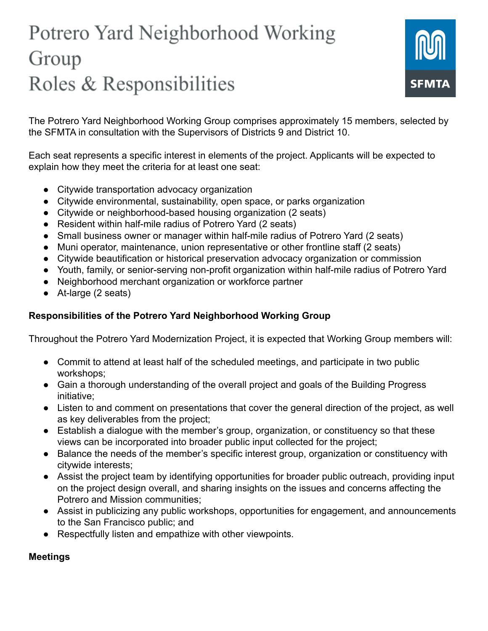# Potrero Yard Neighborhood Working Group Roles & Responsibilities



The Potrero Yard Neighborhood Working Group comprises approximately 15 members, selected by the SFMTA in consultation with the Supervisors of Districts 9 and District 10.

Each seat represents a specific interest in elements of the project. Applicants will be expected to explain how they meet the criteria for at least one seat:

- Citywide transportation advocacy organization
- Citywide environmental, sustainability, open space, or parks organization
- Citywide or neighborhood-based housing organization (2 seats)
- Resident within half-mile radius of Potrero Yard (2 seats)
- Small business owner or manager within half-mile radius of Potrero Yard (2 seats)
- Muni operator, maintenance, union representative or other frontline staff (2 seats)
- Citywide beautification or historical preservation advocacy organization or commission
- Youth, family, or senior-serving non-profit organization within half-mile radius of Potrero Yard
- Neighborhood merchant organization or workforce partner
- At-large (2 seats)

## **Responsibilities of the Potrero Yard Neighborhood Working Group**

Throughout the Potrero Yard Modernization Project, it is expected that Working Group members will:

- Commit to attend at least half of the scheduled meetings, and participate in two public workshops;
- Gain a thorough understanding of the overall project and goals of the Building Progress initiative;
- Listen to and comment on presentations that cover the general direction of the project, as well as key deliverables from the project;
- Establish a dialogue with the member's group, organization, or constituency so that these views can be incorporated into broader public input collected for the project;
- Balance the needs of the member's specific interest group, organization or constituency with citywide interests;
- Assist the project team by identifying opportunities for broader public outreach, providing input on the project design overall, and sharing insights on the issues and concerns affecting the Potrero and Mission communities;
- Assist in publicizing any public workshops, opportunities for engagement, and announcements to the San Francisco public; and
- Respectfully listen and empathize with other viewpoints.

### **Meetings**